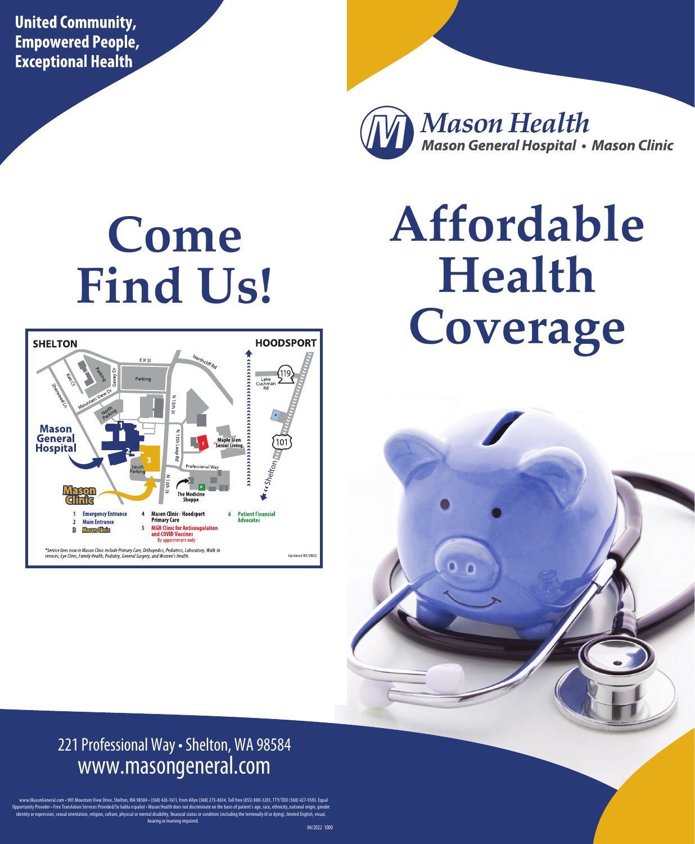**United Community, Empowered People, Exceptional Health** 



# **Come Find Us!**



# **Affordable Health Coverage**



#### 221 Professional Way • Shelton, WA 98584 www.masongeneral.com

www.MasonGeneral.com •901 Mountain View Drive,Shelton, WA 98584 • (360)426-1611, from Allyn (360)275-8614, Toll free (855)880-3201, TTY/TDD (360)427-9593. Equal Opportunity Provider • Free Translation Services Provided/Se habla español • Mason Health does not discriminate on the basis of patient's age, race, ethnicity, national origin, gender identity or expression, sexual orientation, religion, culture, physical or mental disability, financial status or condition (including the terminally ill or dying), limited English, visual, hearing or learning impaired.